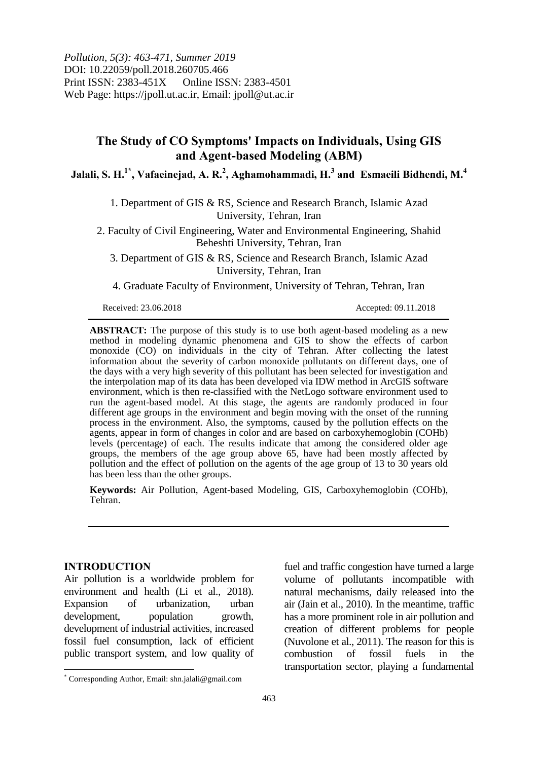*Pollution, 5(3): 463-471, Summer 2019* DOI: 10.22059/poll.2018.260705.466 Print ISSN: 2383-451X Online ISSN: 2383-4501 Web Page: https://jpoll.ut.ac.ir, Email: jpoll@ut.ac.ir

# **The Study of CO Symptoms' Impacts on Individuals, Using GIS and Agent-based Modeling (ABM)**

**Jalali, S. H.1\* , Vafaeinejad, A. R.<sup>2</sup> , Aghamohammadi, H.<sup>3</sup> and Esmaeili Bidhendi, M.<sup>4</sup>**

1. Department of GIS & RS, Science and Research Branch, Islamic Azad University, Tehran, Iran

2. Faculty of Civil Engineering, Water and Environmental Engineering, Shahid Beheshti University, Tehran, Iran

3. Department of GIS & RS, Science and Research Branch, Islamic Azad University, Tehran, Iran

4. Graduate Faculty of Environment, University of Tehran, Tehran, Iran

Received: 23.06.2018 Accepted: 09.11.2018

**ABSTRACT:** The purpose of this study is to use both agent-based modeling as a new method in modeling dynamic phenomena and GIS to show the effects of carbon monoxide (CO) on individuals in the city of Tehran. After collecting the latest information about the severity of carbon monoxide pollutants on different days, one of the days with a very high severity of this pollutant has been selected for investigation and the interpolation map of its data has been developed via IDW method in ArcGIS software environment, which is then re-classified with the NetLogo software environment used to run the agent-based model. At this stage, the agents are randomly produced in four different age groups in the environment and begin moving with the onset of the running process in the environment. Also, the symptoms, caused by the pollution effects on the agents, appear in form of changes in color and are based on carboxyhemoglobin (COHb) levels (percentage) of each. The results indicate that among the considered older age groups, the members of the age group above 65, have had been mostly affected by pollution and the effect of pollution on the agents of the age group of 13 to 30 years old has been less than the other groups.

**Keywords:** Air Pollution, Agent-based Modeling, GIS, Carboxyhemoglobin (COHb), Tehran.

### **INTRODUCTION**

l

Air pollution is a worldwide problem for environment and health (Li et al., 2018). Expansion of urbanization, urban development, population growth, development of industrial activities, increased fossil fuel consumption, lack of efficient public transport system, and low quality of fuel and traffic congestion have turned a large volume of pollutants incompatible with natural mechanisms, daily released into the air (Jain et al., 2010). In the meantime, traffic has a more prominent role in air pollution and creation of different problems for people (Nuvolone et al., 2011). The reason for this is combustion of fossil fuels in the transportation sector, playing a fundamental

Corresponding Author, Email: shn.jalali@gmail.com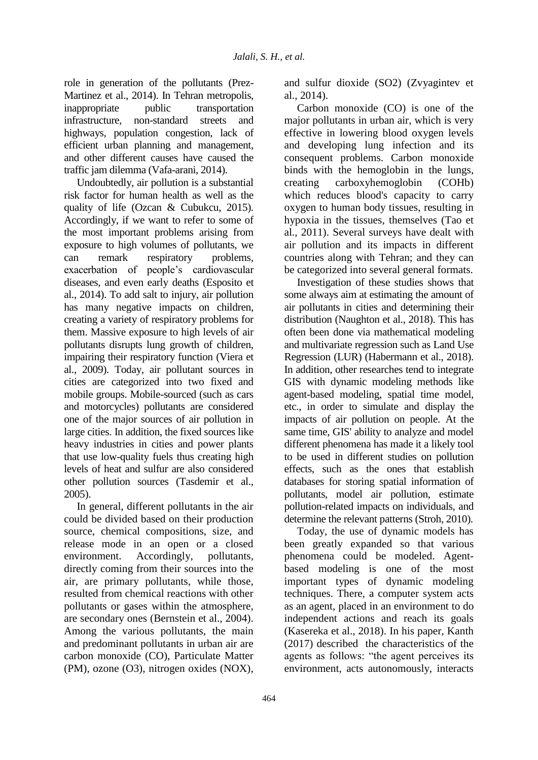role in generation of the pollutants (Prez-Martinez et al., 2014). In Tehran metropolis, inappropriate public transportation infrastructure, non-standard streets and highways, population congestion, lack of efficient urban planning and management, and other different causes have caused the traffic jam dilemma (Vafa-arani, 2014).

Undoubtedly, air pollution is a substantial risk factor for human health as well as the quality of life (Ozcan & Cubukcu, 2015). Accordingly, if we want to refer to some of the most important problems arising from exposure to high volumes of pollutants, we can remark respiratory problems, exacerbation of people's cardiovascular diseases, and even early deaths (Esposito et al., 2014). To add salt to injury, air pollution has many negative impacts on children, creating a variety of respiratory problems for them. Massive exposure to high levels of air pollutants disrupts lung growth of children, impairing their respiratory function (Viera et al., 2009). Today, air pollutant sources in cities are categorized into two fixed and mobile groups. Mobile-sourced (such as cars and motorcycles) pollutants are considered one of the major sources of air pollution in large cities. In addition, the fixed sources like heavy industries in cities and power plants that use low-quality fuels thus creating high levels of heat and sulfur are also considered other pollution sources (Tasdemir et al., 2005).

In general, different pollutants in the air could be divided based on their production source, chemical compositions, size, and release mode in an open or a closed environment. Accordingly, pollutants, directly coming from their sources into the air, are primary pollutants, while those, resulted from chemical reactions with other pollutants or gases within the atmosphere, are secondary ones (Bernstein et al., 2004). Among the various pollutants, the main and predominant pollutants in urban air are carbon monoxide (CO), Particulate Matter (PM), ozone (O3), nitrogen oxides (NOX), and sulfur dioxide (SO2) (Zvyagintev et al., 2014).

Carbon monoxide (CO) is one of the major pollutants in urban air, which is very effective in lowering blood oxygen levels and developing lung infection and its consequent problems. Carbon monoxide binds with the hemoglobin in the lungs, creating carboxyhemoglobin (COHb) which reduces blood's capacity to carry oxygen to human body tissues, resulting in hypoxia in the tissues, themselves (Tao et al., 2011). Several surveys have dealt with air pollution and its impacts in different countries along with Tehran; and they can be categorized into several general formats.

Investigation of these studies shows that some always aim at estimating the amount of air pollutants in cities and determining their distribution (Naughton et al., 2018). This has often been done via mathematical modeling and multivariate regression such as Land Use Regression (LUR) (Habermann et al., 2018). In addition, other researches tend to integrate GIS with dynamic modeling methods like agent-based modeling, spatial time model, etc., in order to simulate and display the impacts of air pollution on people. At the same time, GIS' ability to analyze and model different phenomena has made it a likely tool to be used in different studies on pollution effects, such as the ones that establish databases for storing spatial information of pollutants, model air pollution, estimate pollution-related impacts on individuals, and determine the relevant patterns (Stroh, 2010).

Today, the use of dynamic models has been greatly expanded so that various phenomena could be modeled. Agentbased modeling is one of the most important types of dynamic modeling techniques. There, a computer system acts as an agent, placed in an environment to do independent actions and reach its goals (Kasereka et al., 2018). In his paper, Kanth (2017) described the characteristics of the agents as follows: "the agent perceives its environment, acts autonomously, interacts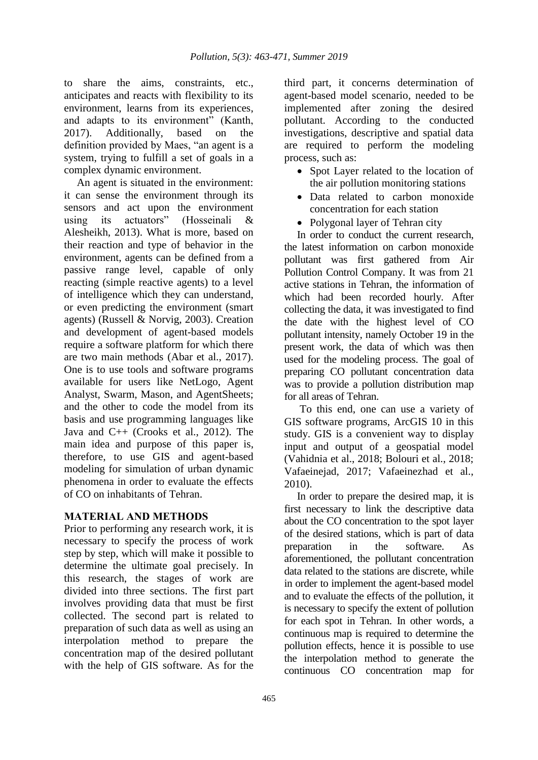to share the aims, constraints, etc., anticipates and reacts with flexibility to its environment, learns from its experiences, and adapts to its environment" (Kanth, 2017). Additionally, based on the definition provided by Maes, "an agent is a system, trying to fulfill a set of goals in a complex dynamic environment.

An agent is situated in the environment: it can sense the environment through its sensors and act upon the environment using its actuators" (Hosseinali & Alesheikh, 2013). What is more, based on their reaction and type of behavior in the environment, agents can be defined from a passive range level, capable of only reacting (simple reactive agents) to a level of intelligence which they can understand, or even predicting the environment (smart agents) (Russell & Norvig, 2003). Creation and development of agent-based models require a software platform for which there are two main methods (Abar et al., 2017). One is to use tools and software programs available for users like NetLogo, Agent Analyst, Swarm, Mason, and AgentSheets; and the other to code the model from its basis and use programming languages like Java and C++ (Crooks et al., 2012). The main idea and purpose of this paper is, therefore, to use GIS and agent-based modeling for simulation of urban dynamic phenomena in order to evaluate the effects of CO on inhabitants of Tehran.

### **MATERIAL AND METHODS**

Prior to performing any research work, it is necessary to specify the process of work step by step, which will make it possible to determine the ultimate goal precisely. In this research, the stages of work are divided into three sections. The first part involves providing data that must be first collected. The second part is related to preparation of such data as well as using an interpolation method to prepare the concentration map of the desired pollutant with the help of GIS software. As for the

third part, it concerns determination of agent-based model scenario, needed to be implemented after zoning the desired pollutant. According to the conducted investigations, descriptive and spatial data are required to perform the modeling process, such as:

- Spot Layer related to the location of the air pollution monitoring stations
- Data related to carbon monoxide concentration for each station
- Polygonal layer of Tehran city

In order to conduct the current research, the latest information on carbon monoxide pollutant was first gathered from Air Pollution Control Company. It was from 21 active stations in Tehran, the information of which had been recorded hourly. After collecting the data, it was investigated to find the date with the highest level of CO pollutant intensity, namely October 19 in the present work, the data of which was then used for the modeling process. The goal of preparing CO pollutant concentration data was to provide a pollution distribution map for all areas of Tehran.

To this end, one can use a variety of GIS software programs, ArcGIS 10 in this study. GIS is a convenient way to display input and output of a geospatial model (Vahidnia et al., 2018; Bolouri et al., 2018; Vafaeinejad, 2017; Vafaeinezhad et al., 2010).

In order to prepare the desired map, it is first necessary to link the descriptive data about the CO concentration to the spot layer of the desired stations, which is part of data preparation in the software. As aforementioned, the pollutant concentration data related to the stations are discrete, while in order to implement the agent-based model and to evaluate the effects of the pollution, it is necessary to specify the extent of pollution for each spot in Tehran. In other words, a continuous map is required to determine the pollution effects, hence it is possible to use the interpolation method to generate the continuous CO concentration map for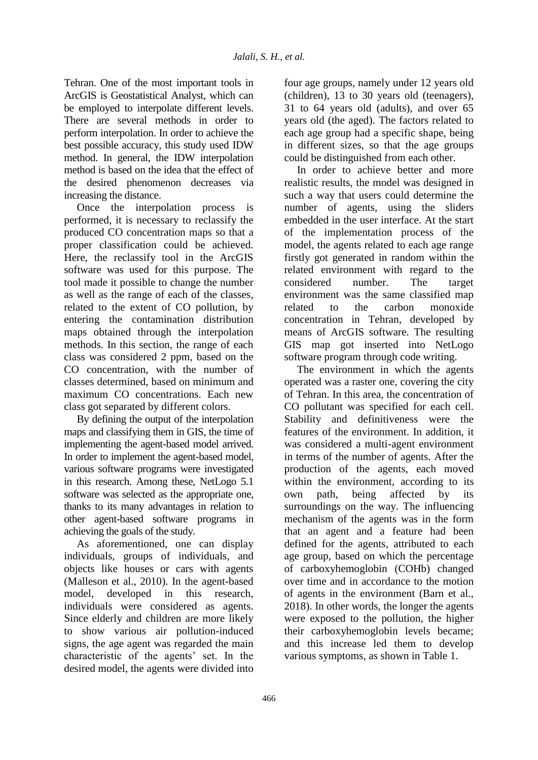Tehran. One of the most important tools in ArcGIS is Geostatistical Analyst, which can be employed to interpolate different levels. There are several methods in order to perform interpolation. In order to achieve the best possible accuracy, this study used IDW method. In general, the IDW interpolation method is based on the idea that the effect of the desired phenomenon decreases via increasing the distance.

Once the interpolation process is performed, it is necessary to reclassify the produced CO concentration maps so that a proper classification could be achieved. Here, the reclassify tool in the ArcGIS software was used for this purpose. The tool made it possible to change the number as well as the range of each of the classes, related to the extent of CO pollution, by entering the contamination distribution maps obtained through the interpolation methods. In this section, the range of each class was considered 2 ppm, based on the CO concentration, with the number of classes determined, based on minimum and maximum CO concentrations. Each new class got separated by different colors.

By defining the output of the interpolation maps and classifying them in GIS, the time of implementing the agent-based model arrived. In order to implement the agent-based model, various software programs were investigated in this research. Among these, NetLogo 5.1 software was selected as the appropriate one, thanks to its many advantages in relation to other agent-based software programs in achieving the goals of the study.

As aforementioned, one can display individuals, groups of individuals, and objects like houses or cars with agents (Malleson et al., 2010). In the agent-based model, developed in this research, individuals were considered as agents. Since elderly and children are more likely to show various air pollution-induced signs, the age agent was regarded the main characteristic of the agents' set. In the desired model, the agents were divided into

four age groups, namely under 12 years old (children), 13 to 30 years old (teenagers), 31 to 64 years old (adults), and over 65 years old (the aged). The factors related to each age group had a specific shape, being in different sizes, so that the age groups could be distinguished from each other.

In order to achieve better and more realistic results, the model was designed in such a way that users could determine the number of agents, using the sliders embedded in the user interface. At the start of the implementation process of the model, the agents related to each age range firstly got generated in random within the related environment with regard to the considered number. The target environment was the same classified map related to the carbon monoxide concentration in Tehran, developed by means of ArcGIS software. The resulting GIS map got inserted into NetLogo software program through code writing.

The environment in which the agents operated was a raster one, covering the city of Tehran. In this area, the concentration of CO pollutant was specified for each cell. Stability and definitiveness were the features of the environment. In addition, it was considered a multi-agent environment in terms of the number of agents. After the production of the agents, each moved within the environment, according to its own path, being affected by its surroundings on the way. The influencing mechanism of the agents was in the form that an agent and a feature had been defined for the agents, attributed to each age group, based on which the percentage of carboxyhemoglobin (COHb) changed over time and in accordance to the motion of agents in the environment (Barn et al., 2018). In other words, the longer the agents were exposed to the pollution, the higher their carboxyhemoglobin levels became; and this increase led them to develop various symptoms, as shown in Table 1.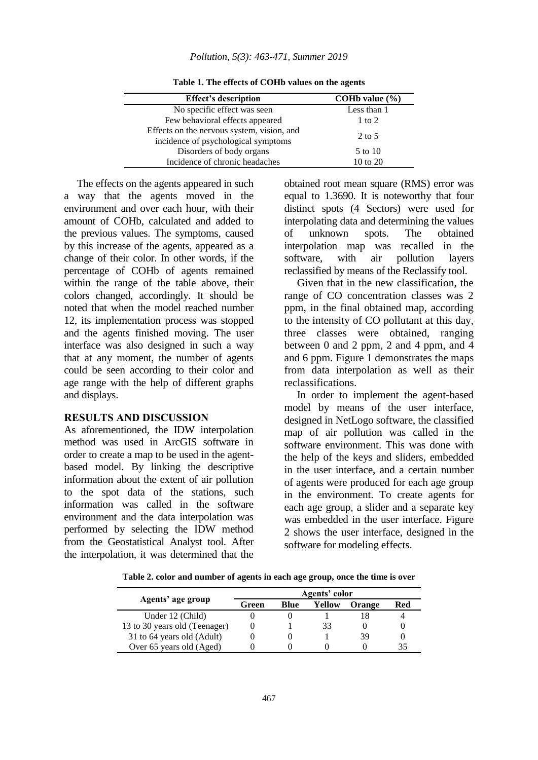| <b>Effect's description</b>                | COH <sub>b</sub> value $\left(\frac{9}{6}\right)$ |  |  |
|--------------------------------------------|---------------------------------------------------|--|--|
| No specific effect was seen                | Less than 1                                       |  |  |
| Few behavioral effects appeared            | $1$ to $2$                                        |  |  |
| Effects on the nervous system, vision, and | $2$ to 5                                          |  |  |
| incidence of psychological symptoms        |                                                   |  |  |
| Disorders of body organs                   | 5 to 10                                           |  |  |
| Incidence of chronic headaches             | 10 to 20                                          |  |  |

**Table 1. The effects of COHb values on the agents**

The effects on the agents appeared in such a way that the agents moved in the environment and over each hour, with their amount of COHb, calculated and added to the previous values. The symptoms, caused by this increase of the agents, appeared as a change of their color. In other words, if the percentage of COHb of agents remained within the range of the table above, their colors changed, accordingly. It should be noted that when the model reached number 12, its implementation process was stopped and the agents finished moving. The user interface was also designed in such a way that at any moment, the number of agents could be seen according to their color and age range with the help of different graphs and displays.

#### **RESULTS AND DISCUSSION**

As aforementioned, the IDW interpolation method was used in ArcGIS software in order to create a map to be used in the agentbased model. By linking the descriptive information about the extent of air pollution to the spot data of the stations, such information was called in the software environment and the data interpolation was performed by selecting the IDW method from the Geostatistical Analyst tool. After the interpolation, it was determined that the obtained root mean square (RMS) error was equal to 1.3690. It is noteworthy that four distinct spots (4 Sectors) were used for interpolating data and determining the values of unknown spots. The obtained interpolation map was recalled in the software, with air pollution layers reclassified by means of the Reclassify tool.

Given that in the new classification, the range of CO concentration classes was 2 ppm, in the final obtained map, according to the intensity of CO pollutant at this day, three classes were obtained, ranging between 0 and 2 ppm, 2 and 4 ppm, and 4 and 6 ppm. Figure 1 demonstrates the maps from data interpolation as well as their reclassifications.

In order to implement the agent-based model by means of the user interface, designed in NetLogo software, the classified map of air pollution was called in the software environment. This was done with the help of the keys and sliders, embedded in the user interface, and a certain number of agents were produced for each age group in the environment. To create agents for each age group, a slider and a separate key was embedded in the user interface. Figure 2 shows the user interface, designed in the software for modeling effects.

**Table 2. color and number of agents in each age group, once the time is over**

| Agents' age group             | Agents' color |      |        |        |     |  |
|-------------------------------|---------------|------|--------|--------|-----|--|
|                               | Green         | Blue | Yellow | Orange | Red |  |
| Under 12 (Child)              |               |      |        |        |     |  |
| 13 to 30 years old (Teenager) |               |      | 33     |        |     |  |
| 31 to 64 years old (Adult)    |               |      |        | 39     |     |  |
| Over 65 years old (Aged)      |               |      |        |        |     |  |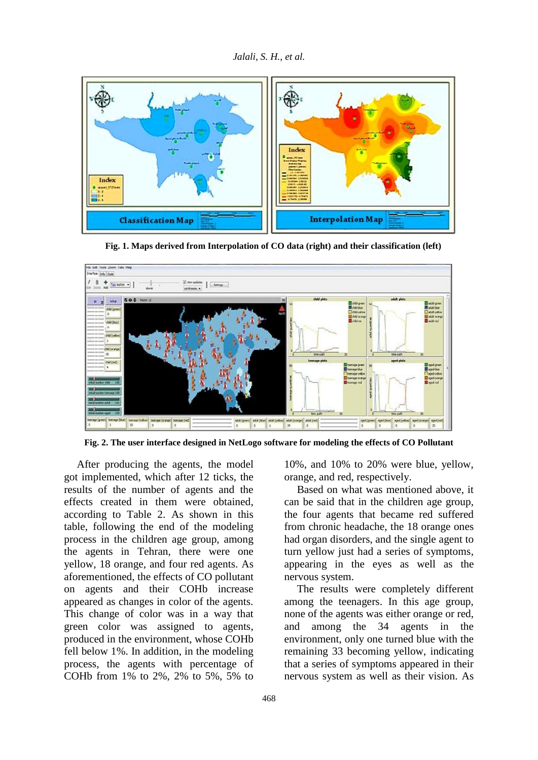

 **Fig. 1. Maps derived from Interpolation of CO data (right) and their classification (left)**



**Fig. 2. The user interface designed in NetLogo software for modeling the effects of CO Pollutant**

After producing the agents, the model got implemented, which after 12 ticks, the results of the number of agents and the effects created in them were obtained, according to Table 2. As shown in this table, following the end of the modeling process in the children age group, among the agents in Tehran, there were one yellow, 18 orange, and four red agents. As aforementioned, the effects of CO pollutant on agents and their COHb increase appeared as changes in color of the agents. This change of color was in a way that green color was assigned to agents, produced in the environment, whose COHb fell below 1%. In addition, in the modeling process, the agents with percentage of COHb from 1% to 2%, 2% to 5%, 5% to

10%, and 10% to 20% were blue, yellow, orange, and red, respectively.

Based on what was mentioned above, it can be said that in the children age group, the four agents that became red suffered from chronic headache, the 18 orange ones had organ disorders, and the single agent to turn yellow just had a series of symptoms, appearing in the eyes as well as the nervous system.

The results were completely different among the teenagers. In this age group, none of the agents was either orange or red, and among the 34 agents in the environment, only one turned blue with the remaining 33 becoming yellow, indicating that a series of symptoms appeared in their nervous system as well as their vision. As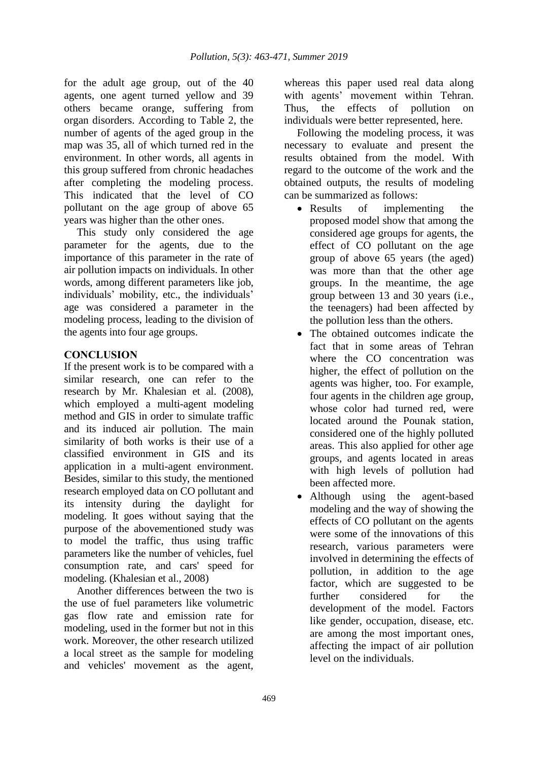for the adult age group, out of the 40 agents, one agent turned yellow and 39 others became orange, suffering from organ disorders. According to Table 2, the number of agents of the aged group in the map was 35, all of which turned red in the environment. In other words, all agents in this group suffered from chronic headaches after completing the modeling process. This indicated that the level of CO pollutant on the age group of above 65 years was higher than the other ones.

This study only considered the age parameter for the agents, due to the importance of this parameter in the rate of air pollution impacts on individuals. In other words, among different parameters like job, individuals' mobility, etc., the individuals' age was considered a parameter in the modeling process, leading to the division of the agents into four age groups.

## **CONCLUSION**

If the present work is to be compared with a similar research, one can refer to the research by Mr. Khalesian et al. (2008), which employed a multi-agent modeling method and GIS in order to simulate traffic and its induced air pollution. The main similarity of both works is their use of a classified environment in GIS and its application in a multi-agent environment. Besides, similar to this study, the mentioned research employed data on CO pollutant and its intensity during the daylight for modeling. It goes without saying that the purpose of the abovementioned study was to model the traffic, thus using traffic parameters like the number of vehicles, fuel consumption rate, and cars' speed for modeling. (Khalesian et al., 2008)

Another differences between the two is the use of fuel parameters like volumetric gas flow rate and emission rate for modeling, used in the former but not in this work. Moreover, the other research utilized a local street as the sample for modeling and vehicles' movement as the agent, whereas this paper used real data along with agents' movement within Tehran. Thus, the effects of pollution on individuals were better represented, here.

Following the modeling process, it was necessary to evaluate and present the results obtained from the model. With regard to the outcome of the work and the obtained outputs, the results of modeling can be summarized as follows:

- Results of implementing the proposed model show that among the considered age groups for agents, the effect of CO pollutant on the age group of above 65 years (the aged) was more than that the other age groups. In the meantime, the age group between 13 and 30 years (i.e., the teenagers) had been affected by the pollution less than the others.
- The obtained outcomes indicate the fact that in some areas of Tehran where the CO concentration was higher, the effect of pollution on the agents was higher, too. For example, four agents in the children age group, whose color had turned red, were located around the Pounak station, considered one of the highly polluted areas. This also applied for other age groups, and agents located in areas with high levels of pollution had been affected more.
- Although using the agent-based modeling and the way of showing the effects of CO pollutant on the agents were some of the innovations of this research, various parameters were involved in determining the effects of pollution, in addition to the age factor, which are suggested to be further considered for the development of the model. Factors like gender, occupation, disease, etc. are among the most important ones, affecting the impact of air pollution level on the individuals.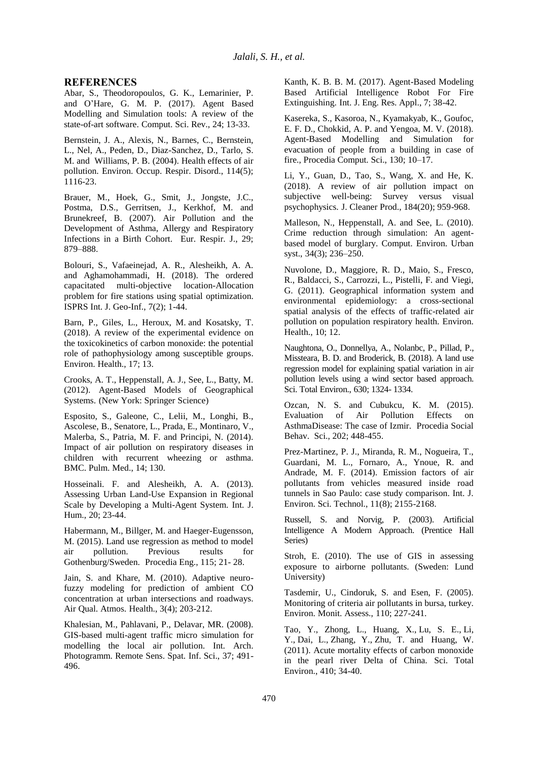#### **REFERENCES**

Abar, S., Theodoropoulos, G. K., Lemarinier, P. and O'Hare, G. M. P. (2017). Agent Based Modelling and Simulation tools: A review of the state-of-art software. Comput. Sci. Rev., 24; 13-33.

Bernstein, J. A., Alexis, N., Barnes, C., Bernstein, L., Nel, A., Peden, D., Diaz-Sanchez, D., Tarlo, S. M. and Williams, P. B. (2004). Health effects of air pollution. Environ. Occup. Respir. Disord., 114(5); 1116-23.

Brauer, M., Hoek, G., Smit, J., Jongste, J.C., Postma, D.S., Gerritsen, J., Kerkhof, M. and Brunekreef, B. (2007). Air Pollution and the Development of Asthma, Allergy and Respiratory Infections in a Birth Cohort. Eur. Respir. J., 29; 879–888.

Bolouri, S., Vafaeinejad, A. R., Alesheikh, A. A. and Aghamohammadi, H. (2018). The ordered capacitated multi-objective location-Allocation problem for fire stations using spatial optimization. ISPRS Int. J. Geo-Inf., 7(2); 1-44.

Barn, P., Giles, L., Heroux, M. and Kosatsky, T. (2018). A review of the experimental evidence on the toxicokinetics of carbon monoxide: the potential role of pathophysiology among susceptible groups. Environ. Health., 17; 13.

Crooks, A. T., Heppenstall, A. J., See, L., Batty, M. (2012). Agent-Based Models of Geographical Systems. (New York: Springer Science)

Esposito, S., Galeone, C., Lelii, M., Longhi, B., Ascolese, B., Senatore, L., Prada, E., Montinaro, V., Malerba, S., Patria, M. F. and Principi, N. (2014). Impact of air pollution on respiratory diseases in children with recurrent wheezing or asthma. BMC. Pulm. Med., 14; 130.

Hosseinali. F. and Alesheikh, A. A. (2013). Assessing Urban Land-Use Expansion in Regional Scale by Developing a Multi-Agent System. Int. J. Hum., 20; 23-44.

Habermann, M., Billger, M. and Haeger-Eugensson, M. (2015). Land use regression as method to model air pollution. Previous results for Gothenburg/Sweden. Procedia Eng., 115; 21- 28.

Jain, S. and Khare, M. (2010). Adaptive neurofuzzy modeling for prediction of ambient CO concentration at urban intersections and roadways. Air Qual. Atmos. Health., 3(4); 203-212.

Khalesian, M., Pahlavani, P., Delavar, MR. (2008). GIS-based multi-agent traffic micro simulation for modelling the local air pollution. Int. Arch. Photogramm. Remote Sens. Spat. Inf. Sci., 37; 491- 496.

Kanth, K. B. B. M. (2017). Agent-Based Modeling Based Artificial Intelligence Robot For Fire Extinguishing. Int. J. Eng. Res. Appl., 7; 38-42.

Kasereka, S., Kasoroa, N., Kyamakyab, K., Goufoc, E. F. D., Chokkid, A. P. and Yengoa, M. V. (2018). Agent-Based Modelling and Simulation for evacuation of people from a building in case of fire., Procedia Comput. Sci., 130; 10–17.

Li, Y., Guan, D., Tao, S., Wang, X. and He, K. (2018). A review of air pollution impact on subjective well-being: Survey versus visual psychophysics. J. Cleaner Prod., 184(20); 959-968.

Malleson, N., Heppenstall, A. and See, L. (2010). Crime reduction through simulation: An agentbased model of burglary. Comput. Environ. Urban syst., 34(3); 236–250.

Nuvolone, D., Maggiore, R. D., Maio, S., Fresco, R., Baldacci, S., Carrozzi, L., Pistelli, F. and Viegi, G. (2011). Geographical information system and environmental epidemiology: a cross-sectional spatial analysis of the effects of traffic-related air pollution on population respiratory health. Environ. Health., 10; 12.

Naughtona, O., Donnellya, A., Nolanbc, P., Pillad, P., Missteara, B. D. and Broderick, B. (2018). A land use regression model for explaining spatial variation in air pollution levels using a wind sector based approach. Sci. Total Environ., 630; 1324- 1334.

Ozcan, N. S. and Cubukcu, K. M. (2015). Evaluation of Air Pollution Effects on AsthmaDisease: The case of Izmir. Procedia Social Behav. Sci., 202; 448-455.

Prez-Martinez, P. J., Miranda, R. M., Nogueira, T., Guardani, M. L., Fornaro, A., Ynoue, R. and Andrade, M. F. (2014). Emission factors of air pollutants from vehicles measured inside road tunnels in Sao Paulo: case study comparison. Int. J. Environ. Sci. Technol., 11(8); 2155-2168.

Russell, S. and Norvig, P. (2003). Artificial Intelligence A Modern Approach. (Prentice Hall Series)

Stroh, E. (2010). The use of GIS in assessing exposure to airborne pollutants. (Sweden: Lund University)

Tasdemir, U., Cindoruk, S. and Esen, F. (2005). Monitoring of criteria air pollutants in bursa, turkey. Environ. Monit. Assess., 110; 227-241.

Tao, Y., Zhong, L., Huang, X., Lu, S. E., Li, Y., Dai, L., Zhang, Y., Zhu, T. and Huang, W. (2011). Acute mortality effects of carbon monoxide in the pearl river Delta of China. Sci. Total Environ., 410; 34-40.